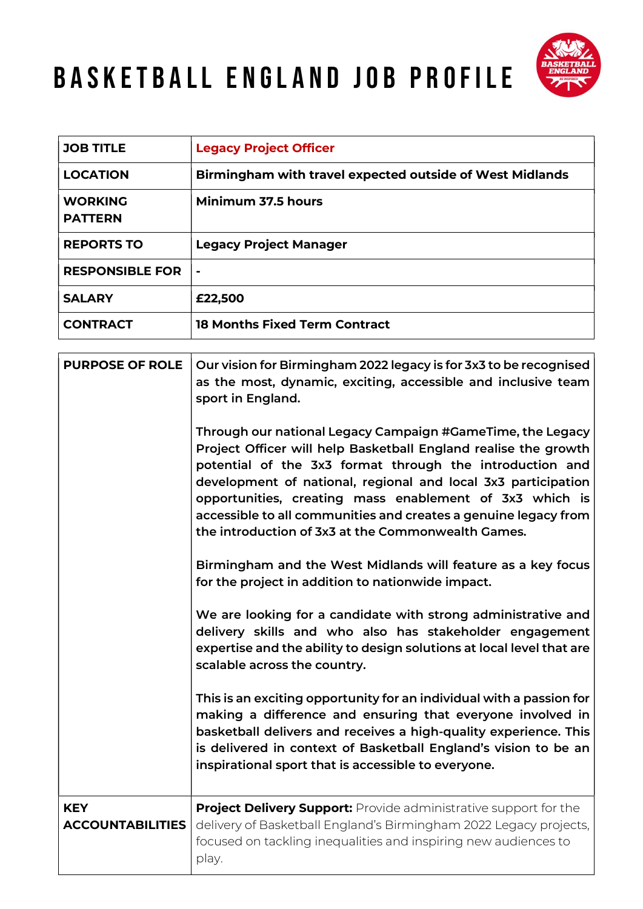## BASKETBALL ENGLAND JOB PROFILE



| <b>JOB TITLE</b>                 | <b>Legacy Project Officer</b>                            |
|----------------------------------|----------------------------------------------------------|
| <b>LOCATION</b>                  | Birmingham with travel expected outside of West Midlands |
| <b>WORKING</b><br><b>PATTERN</b> | Minimum 37.5 hours                                       |
| <b>REPORTS TO</b>                | <b>Legacy Project Manager</b>                            |
| <b>RESPONSIBLE FOR</b>           | $\blacksquare$                                           |
| <b>SALARY</b>                    | £22,500                                                  |
| <b>CONTRACT</b>                  | <b>18 Months Fixed Term Contract</b>                     |

| <b>PURPOSE OF ROLE</b>                | Our vision for Birmingham 2022 legacy is for 3x3 to be recognised<br>as the most, dynamic, exciting, accessible and inclusive team<br>sport in England.<br>Through our national Legacy Campaign #GameTime, the Legacy<br>Project Officer will help Basketball England realise the growth<br>potential of the 3x3 format through the introduction and<br>development of national, regional and local 3x3 participation<br>opportunities, creating mass enablement of 3x3 which is |
|---------------------------------------|----------------------------------------------------------------------------------------------------------------------------------------------------------------------------------------------------------------------------------------------------------------------------------------------------------------------------------------------------------------------------------------------------------------------------------------------------------------------------------|
|                                       | accessible to all communities and creates a genuine legacy from<br>the introduction of 3x3 at the Commonwealth Games.                                                                                                                                                                                                                                                                                                                                                            |
|                                       | Birmingham and the West Midlands will feature as a key focus<br>for the project in addition to nationwide impact.                                                                                                                                                                                                                                                                                                                                                                |
|                                       | We are looking for a candidate with strong administrative and<br>delivery skills and who also has stakeholder engagement<br>expertise and the ability to design solutions at local level that are<br>scalable across the country.                                                                                                                                                                                                                                                |
|                                       | This is an exciting opportunity for an individual with a passion for<br>making a difference and ensuring that everyone involved in<br>basketball delivers and receives a high-quality experience. This<br>is delivered in context of Basketball England's vision to be an<br>inspirational sport that is accessible to everyone.                                                                                                                                                 |
| <b>KEY</b><br><b>ACCOUNTABILITIES</b> | <b>Project Delivery Support:</b> Provide administrative support for the<br>delivery of Basketball England's Birmingham 2022 Legacy projects,<br>focused on tackling inequalities and inspiring new audiences to<br>play.                                                                                                                                                                                                                                                         |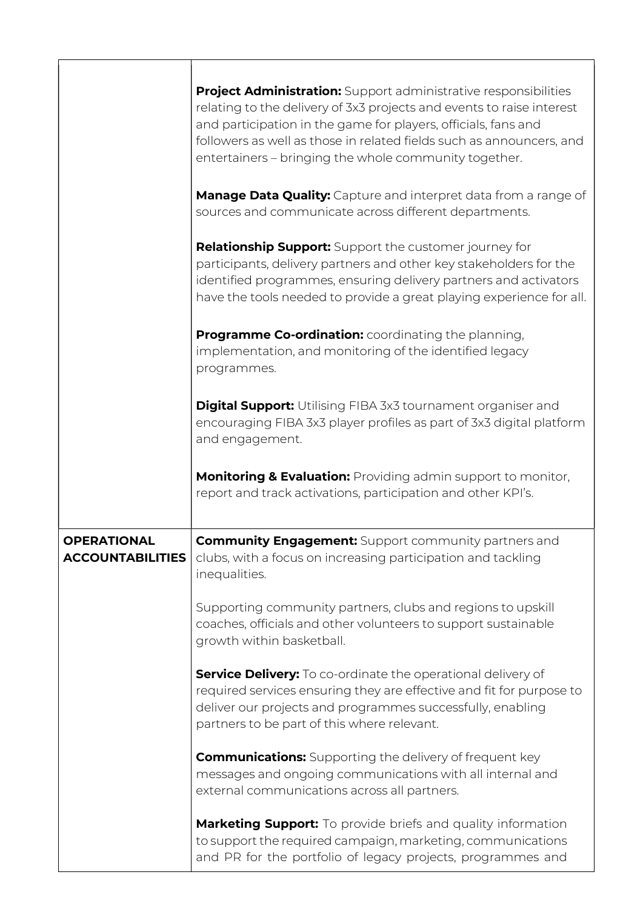|                                               | <b>Project Administration:</b> Support administrative responsibilities<br>relating to the delivery of 3x3 projects and events to raise interest<br>and participation in the game for players, officials, fans and<br>followers as well as those in related fields such as announcers, and<br>entertainers - bringing the whole community together. |
|-----------------------------------------------|----------------------------------------------------------------------------------------------------------------------------------------------------------------------------------------------------------------------------------------------------------------------------------------------------------------------------------------------------|
|                                               | <b>Manage Data Quality:</b> Capture and interpret data from a range of<br>sources and communicate across different departments.                                                                                                                                                                                                                    |
|                                               | <b>Relationship Support:</b> Support the customer journey for<br>participants, delivery partners and other key stakeholders for the<br>identified programmes, ensuring delivery partners and activators<br>have the tools needed to provide a great playing experience for all.                                                                    |
|                                               | <b>Programme Co-ordination:</b> coordinating the planning,<br>implementation, and monitoring of the identified legacy<br>programmes.                                                                                                                                                                                                               |
|                                               | <b>Digital Support:</b> Utilising FIBA 3x3 tournament organiser and<br>encouraging FIBA 3x3 player profiles as part of 3x3 digital platform<br>and engagement.                                                                                                                                                                                     |
|                                               | <b>Monitoring &amp; Evaluation:</b> Providing admin support to monitor,<br>report and track activations, participation and other KPI's.                                                                                                                                                                                                            |
| <b>OPERATIONAL</b><br><b>ACCOUNTABILITIES</b> | <b>Community Engagement:</b> Support community partners and<br>clubs, with a focus on increasing participation and tackling<br>inequalities.                                                                                                                                                                                                       |
|                                               | Supporting community partners, clubs and regions to upskill<br>coaches, officials and other volunteers to support sustainable<br>growth within basketball.                                                                                                                                                                                         |
|                                               | <b>Service Delivery:</b> To co-ordinate the operational delivery of<br>required services ensuring they are effective and fit for purpose to<br>deliver our projects and programmes successfully, enabling<br>partners to be part of this where relevant.                                                                                           |
|                                               | <b>Communications:</b> Supporting the delivery of frequent key<br>messages and ongoing communications with all internal and<br>external communications across all partners.                                                                                                                                                                        |
|                                               | Marketing Support: To provide briefs and quality information<br>to support the required campaign, marketing, communications<br>and PR for the portfolio of legacy projects, programmes and                                                                                                                                                         |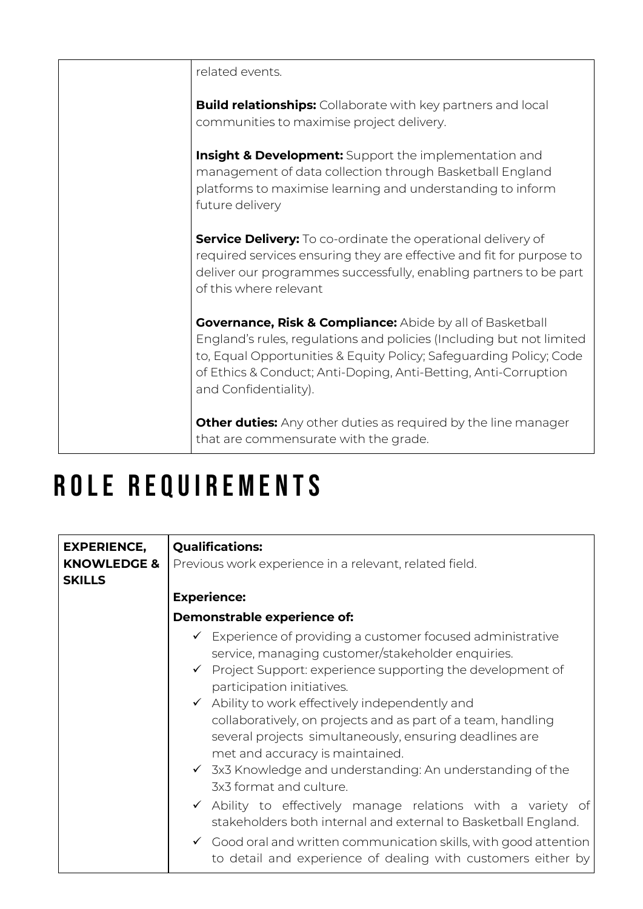| related events.                                                                                                                                                                                                                                                                                                |
|----------------------------------------------------------------------------------------------------------------------------------------------------------------------------------------------------------------------------------------------------------------------------------------------------------------|
| <b>Build relationships:</b> Collaborate with key partners and local<br>communities to maximise project delivery.                                                                                                                                                                                               |
| <b>Insight &amp; Development:</b> Support the implementation and<br>management of data collection through Basketball England<br>platforms to maximise learning and understanding to inform<br>future delivery                                                                                                  |
| <b>Service Delivery:</b> To co-ordinate the operational delivery of<br>required services ensuring they are effective and fit for purpose to<br>deliver our programmes successfully, enabling partners to be part<br>of this where relevant                                                                     |
| <b>Governance, Risk &amp; Compliance:</b> Abide by all of Basketball<br>England's rules, regulations and policies (Including but not limited<br>to, Equal Opportunities & Equity Policy; Safeguarding Policy; Code<br>of Ethics & Conduct; Anti-Doping, Anti-Betting, Anti-Corruption<br>and Confidentiality). |
| <b>Other duties:</b> Any other duties as required by the line manager<br>that are commensurate with the grade.                                                                                                                                                                                                 |

## ROLE REQUIREMENTS

| <b>EXPERIENCE,</b>                      | <b>Qualifications:</b>                                                                                                                                                                                                                                                                                                                                                                                                                                                                                                                                                                                                                                                                                                                                                                                                                               |
|-----------------------------------------|------------------------------------------------------------------------------------------------------------------------------------------------------------------------------------------------------------------------------------------------------------------------------------------------------------------------------------------------------------------------------------------------------------------------------------------------------------------------------------------------------------------------------------------------------------------------------------------------------------------------------------------------------------------------------------------------------------------------------------------------------------------------------------------------------------------------------------------------------|
| <b>KNOWLEDGE &amp;</b><br><b>SKILLS</b> | Previous work experience in a relevant, related field.                                                                                                                                                                                                                                                                                                                                                                                                                                                                                                                                                                                                                                                                                                                                                                                               |
|                                         | <b>Experience:</b>                                                                                                                                                                                                                                                                                                                                                                                                                                                                                                                                                                                                                                                                                                                                                                                                                                   |
|                                         | Demonstrable experience of:                                                                                                                                                                                                                                                                                                                                                                                                                                                                                                                                                                                                                                                                                                                                                                                                                          |
|                                         | ✔ Experience of providing a customer focused administrative<br>service, managing customer/stakeholder enquiries.<br>$\checkmark$ Project Support: experience supporting the development of<br>participation initiatives.<br>$\checkmark$ Ability to work effectively independently and<br>collaboratively, on projects and as part of a team, handling<br>several projects simultaneously, ensuring deadlines are<br>met and accuracy is maintained.<br>$\checkmark$ 3x3 Knowledge and understanding: An understanding of the<br>3x3 format and culture.<br>$\checkmark$ Ability to effectively manage relations with a variety of<br>stakeholders both internal and external to Basketball England.<br>$\checkmark$ Good oral and written communication skills, with good attention<br>to detail and experience of dealing with customers either by |